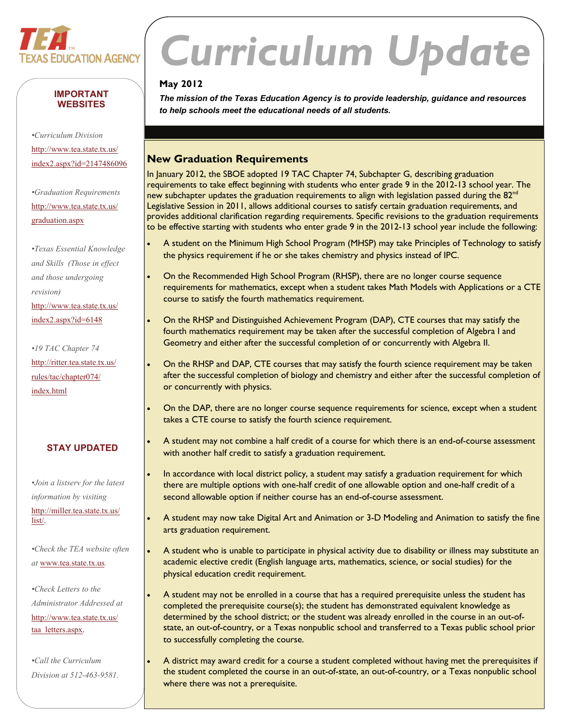

#### **IMPORTANT WEBSITES**

 [index2.aspx?id=2147486096](http://www.tea.state.tx.us/index2.aspx?id=2147486096) *•Curriculum Division*  [http://www.tea.state.tx.us/](http://www.tea.state.tx.us/index2.aspx?id=2147486096)

*•Graduation Requirements*  [http://www.tea.state.tx.us/](http://www.tea.state.tx.us/graduation.aspx) [graduation.aspx](http://www.tea.state.tx.us/graduation.aspx)

*•Texas Essential Knowledge and Skills (Those in effect and those undergoing revision)*  [http://www.tea.state.tx.us/](http://www.tea.state.tx.us/index2.aspx?id=6148) [index2.aspx?id=6148](http://www.tea.state.tx.us/index2.aspx?id=6148)

*•19 TAC Chapter 74*  [http://ritter.tea.state.tx.us/](http://ritter.tea.state.tx.us/rules/tac/chapter074/index.html) [rules/tac/chapter074/](http://ritter.tea.state.tx.us/rules/tac/chapter074/index.html) [index.html](http://ritter.tea.state.tx.us/rules/tac/chapter074/index.html)

#### **STAY UPDATED**

*•Join a listserv for the latest information by visiting*  [http://miller.tea.state.tx.us/](http://miller.tea.state.tx.us/list/) [list/](http://miller.tea.state.tx.us/list/).

*•Check the TEA website often at* [www.tea.state.tx.us](http://www.tea.state.tx.us)*.* 

•Check Letters to the *•Check Letters to the Administrator Addressed at*  [http://www.tea.state.tx.us/](http://www.tea.state.tx.us/taa_letters.aspx) [taa\\_letters.aspx](http://www.tea.state.tx.us/taa_letters.aspx).

*•Call the Curriculum Division at 512-463-9581.* 

# *Curriculum Update*

#### **May 2012**

*The mission of the Texas Education Agency is to provide leadership, guidance and resources to help schools meet the educational needs of all students.* 

#### **New Graduation Requirements**

In January 2012, the SBOE adopted 19 TAC Chapter 74, Subchapter G, describing graduation requirements to take effect beginning with students who enter grade 9 in the 2012-13 school year. The new subchapter updates the graduation requirements to align with legislation passed during the  $82<sup>nd</sup>$ Legislative Session in 2011, allows additional courses to satisfy certain graduation requirements, and provides additional clarification regarding requirements. Specific revisions to the graduation requirements to be effective starting with students who enter grade 9 in the 2012-13 school year include the following:

- A student on the Minimum High School Program (MHSP) may take Principles of Technology to satisfy the physics requirement if he or she takes chemistry and physics instead of IPC.
- On the Recommended High School Program (RHSP), there are no longer course sequence requirements for mathematics, except when a student takes Math Models with Applications or a CTE course to satisfy the fourth mathematics requirement.
- On the RHSP and Distinguished Achievement Program (DAP), CTE courses that may satisfy the fourth mathematics requirement may be taken after the successful completion of Algebra I and Geometry and either after the successful completion of or concurrently with Algebra II.
- On the RHSP and DAP, CTE courses that may satisfy the fourth science requirement may be taken after the successful completion of biology and chemistry and either after the successful completion of or concurrently with physics.
- On the DAP, there are no longer course sequence requirements for science, except when a student takes a CTE course to satisfy the fourth science requirement.
- A student may not combine a half credit of a course for which there is an end-of-course assessment with another half credit to satisfy a graduation requirement.
- In accordance with local district policy, a student may satisfy a graduation requirement for which there are multiple options with one-half credit of one allowable option and one-half credit of a second allowable option if neither course has an end-of-course assessment.
- A student may now take Digital Art and Animation or 3-D Modeling and Animation to satisfy the fine arts graduation requirement.
- A student who is unable to participate in physical activity due to disability or illness may substitute an academic elective credit (English language arts, mathematics, science, or social studies) for the physical education credit requirement.
- A student may not be enrolled in a course that has a required prerequisite unless the student has completed the prerequisite course(s); the student has demonstrated equivalent knowledge as determined by the school district; or the student was already enrolled in the course in an out-ofstate, an out-of-country, or a Texas nonpublic school and transferred to a Texas public school prior to successfully completing the course.
- A district may award credit for a course a student completed without having met the prerequisites if the student completed the course in an out-of-state, an out-of-country, or a Texas nonpublic school where there was not a prerequisite.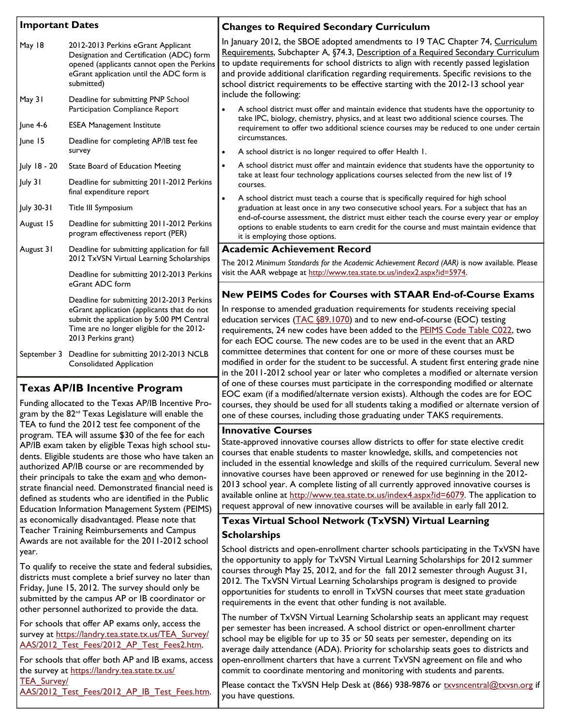| <b>Important Dates</b>                                                                      |                                                                                                                                                                                                          | <b>Changes to Required Secondary Curriculum</b>                                                                                                                                                                                                                                                                                                                                                                                                                                                                                                                                                                                                                                                                                                            |
|---------------------------------------------------------------------------------------------|----------------------------------------------------------------------------------------------------------------------------------------------------------------------------------------------------------|------------------------------------------------------------------------------------------------------------------------------------------------------------------------------------------------------------------------------------------------------------------------------------------------------------------------------------------------------------------------------------------------------------------------------------------------------------------------------------------------------------------------------------------------------------------------------------------------------------------------------------------------------------------------------------------------------------------------------------------------------------|
| May 18                                                                                      | 2012-2013 Perkins eGrant Applicant<br>Designation and Certification (ADC) form<br>opened (applicants cannot open the Perkins<br>eGrant application until the ADC form is<br>submitted)                   | In January 2012, the SBOE adopted amendments to 19 TAC Chapter 74, Curricul<br>Requirements, Subchapter A, §74.3, Description of a Required Secondary Curricu<br>to update requirements for school districts to align with recently passed legislatio<br>and provide additional clarification regarding requirements. Specific revisions to th<br>school district requirements to be effective starting with the 2012-13 school year<br>include the following:<br>A school district must offer and maintain evidence that students have the opportunity<br>take IPC, biology, chemistry, physics, and at least two additional science courses. The<br>requirement to offer two additional science courses may be reduced to one under ce<br>circumstances. |
| May 31                                                                                      | Deadline for submitting PNP School<br>Participation Compliance Report                                                                                                                                    |                                                                                                                                                                                                                                                                                                                                                                                                                                                                                                                                                                                                                                                                                                                                                            |
| June $4-6$                                                                                  | <b>ESEA Management Institute</b>                                                                                                                                                                         |                                                                                                                                                                                                                                                                                                                                                                                                                                                                                                                                                                                                                                                                                                                                                            |
| June 15                                                                                     | Deadline for completing AP/IB test fee<br>survey                                                                                                                                                         | A school district is no longer required to offer Health 1.                                                                                                                                                                                                                                                                                                                                                                                                                                                                                                                                                                                                                                                                                                 |
| July 18 - 20                                                                                | State Board of Education Meeting                                                                                                                                                                         | A school district must offer and maintain evidence that students have the opportunity<br>take at least four technology applications courses selected from the new list of 19<br>courses.<br>A school district must teach a course that is specifically required for high school<br>graduation at least once in any two consecutive school years. For a subject that has ar<br>end-of-course assessment, the district must either teach the course every year or em<br>options to enable students to earn credit for the course and must maintain evidence t<br>it is employing those options.                                                                                                                                                              |
| July 31                                                                                     | Deadline for submitting 2011-2012 Perkins                                                                                                                                                                |                                                                                                                                                                                                                                                                                                                                                                                                                                                                                                                                                                                                                                                                                                                                                            |
| July 30-31                                                                                  | final expenditure report<br>Title III Symposium                                                                                                                                                          |                                                                                                                                                                                                                                                                                                                                                                                                                                                                                                                                                                                                                                                                                                                                                            |
| August 15                                                                                   | Deadline for submitting 2011-2012 Perkins<br>program effectiveness report (PER)                                                                                                                          |                                                                                                                                                                                                                                                                                                                                                                                                                                                                                                                                                                                                                                                                                                                                                            |
| August 31                                                                                   | Deadline for submitting application for fall                                                                                                                                                             | <b>Academic Achievement Record</b>                                                                                                                                                                                                                                                                                                                                                                                                                                                                                                                                                                                                                                                                                                                         |
|                                                                                             | 2012 TxVSN Virtual Learning Scholarships                                                                                                                                                                 | The 2012 Minimum Standards for the Academic Achievement Record (AAR) is now available. Ple<br>visit the AAR webpage at http://www.tea.state.tx.us/index2.aspx?id=5974.                                                                                                                                                                                                                                                                                                                                                                                                                                                                                                                                                                                     |
|                                                                                             | Deadline for submitting 2012-2013 Perkins<br>eGrant ADC form                                                                                                                                             |                                                                                                                                                                                                                                                                                                                                                                                                                                                                                                                                                                                                                                                                                                                                                            |
|                                                                                             | Deadline for submitting 2012-2013 Perkins<br>eGrant application (applicants that do not<br>submit the application by 5:00 PM Central<br>Time are no longer eligible for the 2012-<br>2013 Perkins grant) | New PEIMS Codes for Courses with STAAR End-of-Course Exan<br>In response to amended graduation requirements for students receiving special<br>education services (TAC §89.1070) and to new end-of-course (EOC) testing<br>requirements, 24 new codes have been added to the PEIMS Code Table C022, tw<br>for each EOC course. The new codes are to be used in the event that an ARD                                                                                                                                                                                                                                                                                                                                                                        |
|                                                                                             | September 3 Deadline for submitting 2012-2013 NCLB<br><b>Consolidated Application</b>                                                                                                                    | committee determines that content for one or more of these courses must be<br>modified in order for the student to be successful. A student first entering grade i                                                                                                                                                                                                                                                                                                                                                                                                                                                                                                                                                                                         |
| <b>Texas AP/IB Incentive Program</b><br>Funding allocated to the Texas AP/IB Incentive Pro- |                                                                                                                                                                                                          | in the 2011-2012 school year or later who completes a modified or alternate vers<br>of one of these courses must participate in the corresponding modified or alterna<br>EOC exam (if a modified/alternate version exists). Although the codes are for EO<br>courses they should be used for all students taking a modified or alternate version                                                                                                                                                                                                                                                                                                                                                                                                           |

Awards are not available for the 2011-2012 school gram by the 82<sup>nd</sup> Texas Legislature will enable the TEA to fund the 2012 test fee component of the program. TEA will assume \$30 of the fee for each **Innovative Courses**  Teacher Training Reimbursements and Campus

[AAS/2012\\_Test\\_Fees/2012\\_AP\\_IB\\_Test\\_Fees.htm](https://landry.tea.state.tx.us/TEA_Survey/AAS/2012_Test_Fees/2012_AP_IB_Test_Fees.htm). you have questions.

In January 2012, the SBOE adopted amendments to 19 TAC Chapter 74, Curriculum Requirements, Subchapter A, §74.3, Description of a Required Secondary Curriculum to update requirements for school districts to align with recently passed legislation and provide additional clarification regarding requirements. Specific revisions to the school district requirements to be effective starting with the 2012-13 school year

- A school district must offer and maintain evidence that students have the opportunity to requirement to offer two additional science courses may be reduced to one under certain
- A school district must offer and maintain evidence that students have the opportunity to
- graduation at least once in any two consecutive school years. For a subject that has an end-of-course assessment, the district must either teach the course every year or employ options to enable students to earn credit for the course and must maintain evidence that

### **New PEIMS Codes for Courses with STAAR End-of-Course Exams**

requirements, 24 new codes have been added to the [PEIMS Code Table C022](http://www.tea.state.tx.us/index4.aspx?id=7189), two modified in order for the student to be successful. A student first entering grade nine in the 2011-2012 school year or later who completes a modified or alternate version of one of these courses must participate in the corresponding modified or alternate EOC exam (if a modified/alternate version exists). Although the codes are for EOC courses, they should be used for all students taking a modified or alternate version of one of these courses, including those graduating under TAKS requirements.

AP/IB exam taken by eligible Texas high school stu- State-approved innovative courses allow districts to offer for state elective credit dents. Eligible students are those who have taken an courses that enable students to master knowledge, skills, and competencies not authorized AP/IB course or are recommended by included in the essential knowledge and skills of the required curriculum. Several new their principals to take the exam and who demon-<br>
innovative courses have been approved or renewed for use beginning in the 2012strate financial need. Demonstrated financial need is 2013 school year. A complete listing of all currently approved innovative courses is defined as students who are identified in the Public available online at <http://www.tea.state.tx.us/index4.aspx?id=6079>. The application to Education Information Management System (PEIMS) request approval of new innovative courses will be available in early fall 2012.

#### **S**cholarships as economically disadvantaged. Please note that **Texas Virtual School Network (TxVSN) Virtual Learning**

year.<br>
Awards are not available for the 2012 school districts and open-enrollment charter schools participating in the TxVSN have<br>
The opportunity to apply for TxVSN Virtual Learning Scholarships for 2012 summer To qualify to receive the state and federal subsidies,<br>districts must complete a brief survey no later than<br>Friday, June 15, 2012. The survey should only be<br>submitted by the campus AP or IB coordinator or<br>submitted by the other personnel authorized to provide the data.<br>The number of TxVSN Virtual Learning Scholarship seats an applicant may request

For schools that offer AP exams only, access the<br>survey at [https://landry.tea.state.tx.us/TEA\\_Survey/](https://landry.tea.state.tx.us/TEA_Survey/AAS/2012_Test_Fees/2012_AP_Test_Fees2.htm)<br>AAS/2012\_Test\_Fees/2012\_AP\_Test\_Fees2.htm.<br>average daily attendance (ADA). Priority for scholarship seats goes to distri For schools that offer both AP and IB exams, access open-enrollment charters that have a current  $TxVSN$  agreement on file and who the survey at [https://landry.tea.state.tx.us/](https://landry.tea.state.tx.us/TEA_Survey/AAS/2012_Test_Fees/2012_AP_IB_Test_Fees.htm) commit to coordinate mentoring and monitoring with students and parents.

 $\frac{TEA\_Survey}{T}=$  Please contact the TxVSN Help Desk at (866) 938-9876 or <u>[txvsncentral@txvsn.org](mailto:txvsncentral@txvsn.org)</u> if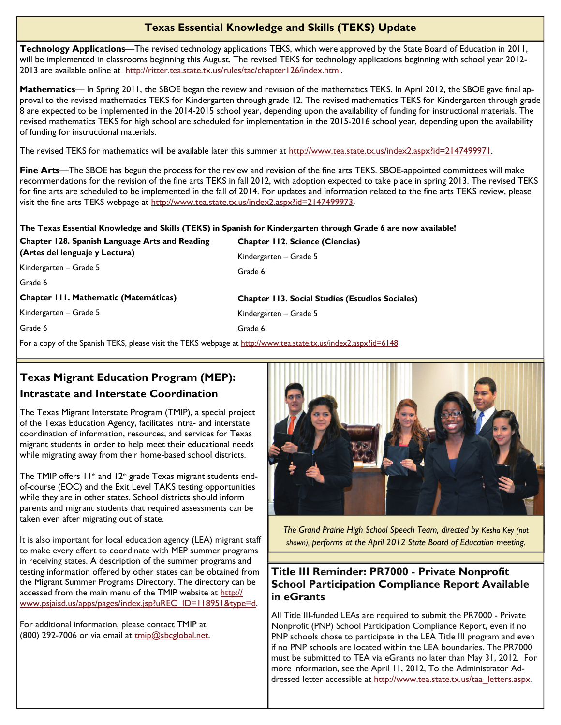#### **Texas Essential Knowledge and Skills (TEKS) Update**

2013 are available online at <http://ritter.tea.state.tx.us/rules/tac/chapter126/index.html>. **Technology Applications**—The revised technology applications TEKS, which were approved by the State Board of Education in 2011, will be implemented in classrooms beginning this August. The revised TEKS for technology applications beginning with school year 2012-

**Mathematics**— In Spring 2011, the SBOE began the review and revision of the mathematics TEKS. In April 2012, the SBOE gave final approval to the revised mathematics TEKS for Kindergarten through grade 12. The revised mathematics TEKS for Kindergarten through grade 8 are expected to be implemented in the 2014-2015 school year, depending upon the availability of funding for instructional materials. The revised mathematics TEKS for high school are scheduled for implementation in the 2015-2016 school year, depending upon the availability of funding for instructional materials.

The revised TEKS for mathematics will be available later this summer at <http://www.tea.state.tx.us/index2.aspx?id=2147499971>.

**Fine Arts**—The SBOE has begun the process for the review and revision of the fine arts TEKS. SBOE-appointed committees will make recommendations for the revision of the fine arts TEKS in fall 2012, with adoption expected to take place in spring 2013. The revised TEKS for fine arts are scheduled to be implemented in the fall of 2014. For updates and information related to the fine arts TEKS review, please visit the fine arts TEKS webpage at<http://www.tea.state.tx.us/index2.aspx?id=2147499973>.

Kindergarten – Grade 5

**Chapter 112. Science (Ciencias)** 

#### **The Texas Essential Knowledge and Skills (TEKS) in Spanish for Kindergarten through Grade 6 are now available!**

Grade 6

**Chapter 128. Spanish Language Arts and Reading (Artes del lenguaje y Lectura)** 

Kindergarten – Grade 5

Grade 6

**Chapter 111. Mathematic (Matemáticas)** 

Kindergarten – Grade 5

Grade 6

**Chapter 113. Social Studies (Estudios Sociales)**  Kindergarten – Grade 5 Grade 6

For a copy of the Spanish TEKS, please visit the TEKS webpage at<http://www.tea.state.tx.us/index2.aspx?id=6148>.

## **Texas Migrant Education Program (MEP): Intrastate and Interstate Coordination**

The Texas Migrant Interstate Program (TMIP), a special project of the Texas Education Agency, facilitates intra- and interstate coordination of information, resources, and services for Texas migrant students in order to help meet their educational needs while migrating away from their home-based school districts.

The TMIP offers  $11<sup>th</sup>$  and  $12<sup>th</sup>$  grade Texas migrant students endof-course (EOC) and the Exit Level TAKS testing opportunities while they are in other states. School districts should inform parents and migrant students that required assessments can be taken even after migrating out of state.

It is also important for local education agency (LEA) migrant staff to make every effort to coordinate with MEP summer programs in receiving states. A description of the summer programs and testing information offered by other states can be obtained from the Migrant Summer Programs Directory. The directory can be accessed from the main menu of the TMIP website at [http://](http://www.psjaisd.us/apps/pages/index.jsp?uREC_ID=118951&type=d) [www.psjaisd.us/apps/pages/index.jsp?uREC\\_ID=118951&type=d](http://www.psjaisd.us/apps/pages/index.jsp?uREC_ID=118951&type=d).

For additional information, please contact TMIP at (800) 292-7006 or via email at [tmip@sbcglobal.net](mailto:tmip@sbcglobal.net).



*The Grand Prairie High School Speech Team, directed by Kesha Key (not shown), performs at the April 2012 State Board of Education meeting.* 

#### **Title III Reminder: PR7000 - Private Nonprofit School Participation Compliance Report Available in eGrants**

All Title III-funded LEAs are required to submit the PR7000 - Private Nonprofit (PNP) School Participation Compliance Report, even if no PNP schools chose to participate in the LEA Title III program and even if no PNP schools are located within the LEA boundaries. The PR7000 must be submitted to TEA via eGrants no later than May 31, 2012. For more information, see the April 11, 2012, To the Administrator Addressed letter accessible at [http://www.tea.state.tx.us/taa\\_letters.aspx](http://www.tea.state.tx.us/taa_letters.aspx).